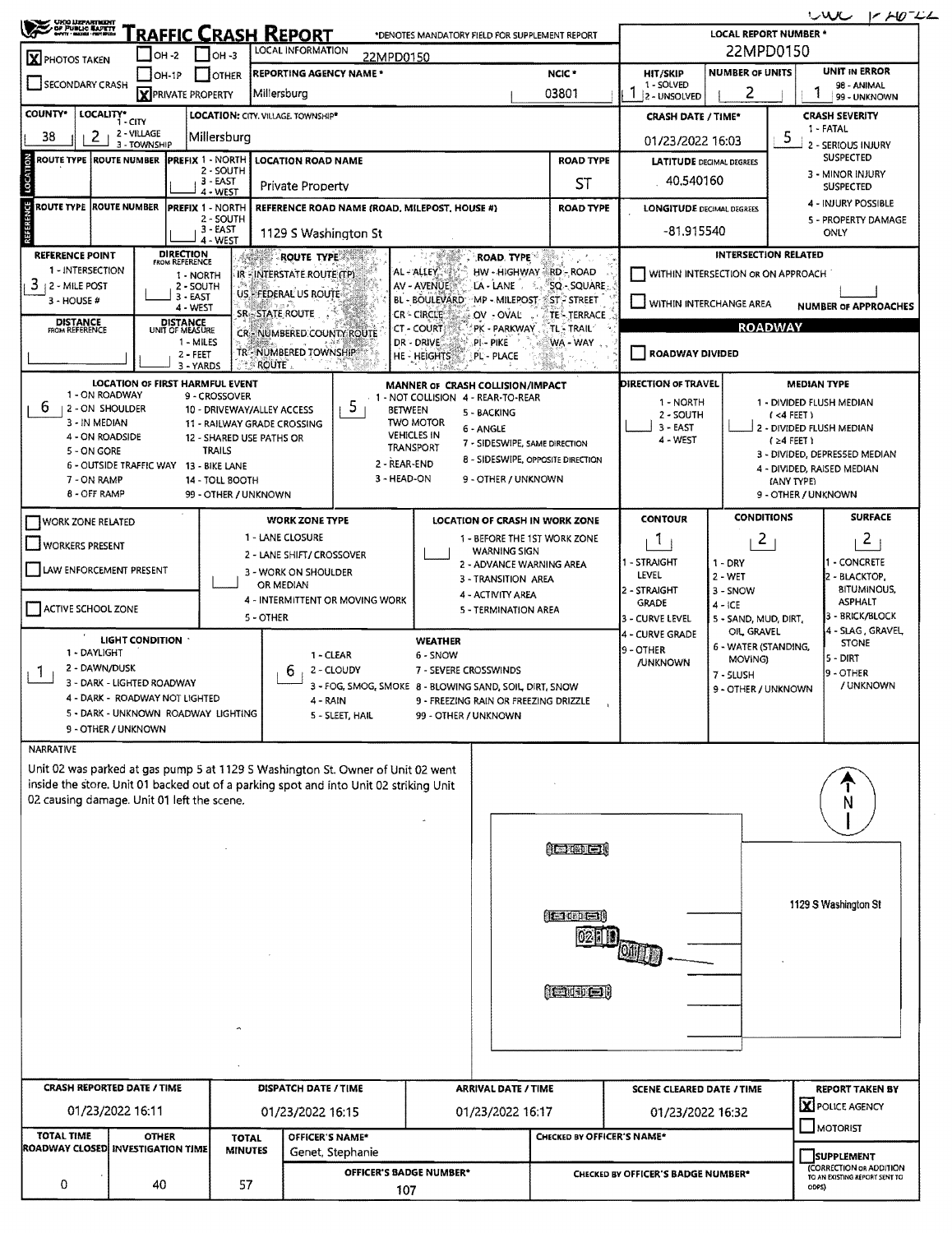| <b>CHOOLDEPARTMENT<br/>A DR PUBLIC MARKTY</b><br>MANY HARDEL-MERBODE                                                                     |                                 |                                                 |                                |                                                         |                                                         |                                                      |                            |                                                                    |                                           |                                    |                                             | wu<br>$1 - 10^{-11}$                                     |  |  |
|------------------------------------------------------------------------------------------------------------------------------------------|---------------------------------|-------------------------------------------------|--------------------------------|---------------------------------------------------------|---------------------------------------------------------|------------------------------------------------------|----------------------------|--------------------------------------------------------------------|-------------------------------------------|------------------------------------|---------------------------------------------|----------------------------------------------------------|--|--|
| <u>RAFFIC CRASH REPORT</u><br>*DENOTES MANDATORY FIELD FOR SUPPLEMENT REPORT<br>LOCAL INFORMATION<br>$\Box$ OH-3<br>I OH -2<br>22MPD0150 |                                 |                                                 |                                |                                                         |                                                         |                                                      |                            |                                                                    | <b>LOCAL REPORT NUMBER *</b><br>22MPD0150 |                                    |                                             |                                                          |  |  |
| X PHOTOS TAKEN                                                                                                                           | $ OH-1P$                        |                                                 | <b>JOTHER</b>                  | REPORTING AGENCY NAME *                                 |                                                         |                                                      |                            | NCIC <sup>*</sup>                                                  | <b>HIT/SKIP</b>                           | <b>NUMBER OF UNITS</b>             |                                             | <b>UNIT IN ERROR</b>                                     |  |  |
| SECONDARY CRASH                                                                                                                          |                                 | <b>X</b> PRIVATE PROPERTY                       |                                | Millersburg                                             |                                                         |                                                      |                            | 03801                                                              | 1 - SOLVED<br>2 - UNSOLVED                | 2                                  |                                             | 98 - ANIMAL<br>99 - UNKNOWN                              |  |  |
| COUNTY*<br>LOCALITY*                                                                                                                     | 1 - CITY                        |                                                 |                                | LOCATION: CITY. VILLAGE. TOWNSHIP*                      |                                                         |                                                      |                            |                                                                    | <b>CRASH DATE / TIME*</b>                 |                                    |                                             | <b>CRASH SEVERITY</b><br>1 - FATAL                       |  |  |
| 38<br>2                                                                                                                                  | 2 - VILLAGE<br>3 - TOWNSHIP     |                                                 | Millersburg                    |                                                         |                                                         |                                                      |                            |                                                                    | 01/23/2022 16:03                          |                                    | 5                                           | 2 - SERIOUS INJURY                                       |  |  |
| LOCATION<br>ROUTE TYPE ROUTE NUMBER PREFIX 1 - NORTH<br><b>LOCATION ROAD NAME</b><br>2 - SOUTH                                           |                                 |                                                 |                                |                                                         |                                                         |                                                      |                            | <b>ROAD TYPE</b>                                                   | <b>LATITUDE</b> DECIMAL DEGREES           |                                    |                                             | <b>SUSPECTED</b><br>3 - MINOR INJURY                     |  |  |
| 3 - EAST<br>Private Property<br>4 - WEST                                                                                                 |                                 |                                                 |                                |                                                         |                                                         |                                                      |                            | ST                                                                 | 40.540160                                 |                                    |                                             | <b>SUSPECTED</b>                                         |  |  |
| REFERENCE<br>ROUTE TYPE IROUTE NUMBER<br><b>PREFIX 1 - NORTH</b><br>REFERENCE ROAD NAME (ROAD, MILEPOST, HOUSE #)<br>2 - SOUTH           |                                 |                                                 |                                |                                                         |                                                         |                                                      |                            | <b>ROAD TYPE</b>                                                   | <b>LONGITUDE DECIMAL DEGREES</b>          |                                    |                                             | 4 - INJURY POSSIBLE<br>5 - PROPERTY DAMAGE               |  |  |
|                                                                                                                                          |                                 |                                                 | 3 - EAST<br>4 - WEST           | 1129 S Washington St                                    |                                                         |                                                      |                            |                                                                    | -81.915540                                |                                    |                                             | ONLY                                                     |  |  |
| <b>REFERENCE POINT</b><br>1 - INTERSECTION                                                                                               |                                 | <b>DIRECTION</b><br>FROM REFERENCE              |                                | <b>ROUTE TYPE AND</b>                                   |                                                         | AL - ALLEY                                           | ROAD, TYPE                 | HW - HIGHWAY ARD - ROAD                                            |                                           |                                    | <b>INTERSECTION RELATED</b>                 |                                                          |  |  |
| 3<br>2 - MILE POST                                                                                                                       |                                 | 1 - NORTH<br>2 - SOUTH                          |                                | IR - INTERSTATE ROUTE (TP)<br>US - FEDERAL US ROUTE     |                                                         | AV - AVENUE                                          | LA - LANE                  | SQ - SQUARE<br>-9.                                                 | WITHIN INTERSECTION OR ON APPROACH        |                                    |                                             |                                                          |  |  |
| 3 - HOUSE #                                                                                                                              |                                 | $3 - EAST$<br>4 - WEST                          |                                | <b>SR-STATE ROUTE</b>                                   |                                                         | BL - BOULEVARD:<br>CR - CIRCLE                       | OV-OVAL                    | MP - MILEPOST STP STREET<br><b>TE-TERRACE</b>                      | WITHIN INTERCHANGE AREA                   |                                    |                                             | <b>NUMBER OF APPROACHES</b>                              |  |  |
| <b>DISTANCE</b><br><b>FROM REFERENCE</b>                                                                                                 |                                 | <b>DISTANCE</b><br>UNIT OF MEASURE<br>1 - MILES |                                | CR - NUMBERED COUNTY ROUTE                              |                                                         | CT - COURT<br>DR - DRIVE                             | PK - PARKWAY<br>.pi - pike | <b>TL TRAIL</b><br>WA - WAY                                        |                                           |                                    | <b>ROADWAY</b>                              |                                                          |  |  |
|                                                                                                                                          |                                 | 2 - FEET<br>3 - YARDS                           |                                | TR"-NUMBERED TOWNSHIP<br><b>ROUTE</b>                   |                                                         | HE - HEIGHTS                                         | PL - PLACE                 |                                                                    | ROADWAY DIVIDED                           |                                    |                                             |                                                          |  |  |
|                                                                                                                                          | LOCATION OF FIRST HARMFUL EVENT |                                                 |                                |                                                         |                                                         | MANNER OF CRASH COLLISION/IMPACT                     |                            |                                                                    | <b>DIRECTION OF TRAVEL</b>                |                                    | <b>MEDIAN TYPE</b>                          |                                                          |  |  |
| 1 - ON ROADWAY<br>6<br>12 - ON SHOULDER                                                                                                  |                                 |                                                 | 9 - CROSSOVER                  | 10 - DRIVEWAY/ALLEY ACCESS                              | 5.                                                      | 1 - NOT COLLISION 4 - REAR-TO-REAR<br><b>BETWEEN</b> | 5 - BACKING                |                                                                    | 1 - NORTH<br>2 - SOUTH                    |                                    | 1 - DIVIDED FLUSH MEDIAN<br>$($ <4 FEET $)$ |                                                          |  |  |
| 3 - IN MEDIAN<br>4 - ON ROADSIDE                                                                                                         |                                 |                                                 |                                | 11 - RAILWAY GRADE CROSSING<br>12 - SHARED USE PATHS OR |                                                         | <b>TWO MOTOR</b><br><b>VEHICLES IN</b>               | 6 - ANGLE                  |                                                                    | $3 - EAST$                                |                                    | 2 - DIVIDED FLUSH MEDIAN                    |                                                          |  |  |
| 5 - ON GORE                                                                                                                              |                                 |                                                 | <b>TRAILS</b>                  |                                                         |                                                         | TRANSPORT                                            |                            | 7 - SIDESWIPE, SAME DIRECTION<br>8 - SIDESWIPE, OPPOSITE DIRECTION | 4 - WEST                                  |                                    | $124$ FEET 1                                | 3 - DIVIDED, DEPRESSED MEDIAN                            |  |  |
| 6 - OUTSIDE TRAFFIC WAY 13 - BIKE LANE<br>7 - ON RAMP                                                                                    |                                 |                                                 | 14 - TOLL BOOTH                |                                                         |                                                         | 2 - REAR-END<br>3 - HEAD-ON                          | 9 - OTHER / UNKNOWN        |                                                                    |                                           |                                    | (ANY TYPE)                                  | 4 - DIVIDED, RAISED MEDIAN                               |  |  |
| <b>8 - OFF RAMP</b>                                                                                                                      |                                 |                                                 | 99 - OTHER / UNKNOWN           |                                                         |                                                         |                                                      |                            |                                                                    |                                           |                                    | 9 - OTHER / UNKNOWN                         |                                                          |  |  |
| <b>WORK ZONE RELATED</b>                                                                                                                 |                                 |                                                 |                                | <b>WORK ZONE TYPE</b>                                   |                                                         |                                                      |                            | <b>LOCATION OF CRASH IN WORK ZONE</b>                              | <b>CONTOUR</b>                            | <b>CONDITIONS</b>                  |                                             | <b>SURFACE</b>                                           |  |  |
| <b>WORKERS PRESENT</b>                                                                                                                   |                                 |                                                 |                                | 1 - LANE CLOSURE<br>2 - LANE SHIFT/ CROSSOVER           |                                                         |                                                      | <b>WARNING SIGN</b>        | 1 - BEFORE THE 1ST WORK ZONE                                       | Л.                                        | $\mathbf{2}$                       |                                             | $\mathbf{2}$                                             |  |  |
| LAW ENFORCEMENT PRESENT                                                                                                                  |                                 |                                                 |                                | 3 - WORK ON SHOULDER                                    |                                                         |                                                      | 3 - TRANSITION AREA        | 2 - ADVANCE WARNING AREA                                           | - STRAIGHT<br>LEVEL                       | $1 - DRY$<br>$2 - WET$             |                                             | - CONCRETE<br>2 - BLACKTOP,                              |  |  |
|                                                                                                                                          |                                 |                                                 |                                | OR MEDIAN                                               | 4 - INTERMITTENT OR MOVING WORK                         |                                                      | 4 - ACTIVITY AREA          |                                                                    | 2 - STRAIGHT<br><b>GRADE</b>              | 3 - SNOW<br>$4 - ICE$              |                                             | <b>BITUMINOUS,</b><br><b>ASPHALT</b>                     |  |  |
| ACTIVE SCHOOL ZONE                                                                                                                       |                                 |                                                 |                                | 5 - OTHER                                               |                                                         |                                                      | 5 - TERMINATION AREA       |                                                                    | 3 - CURVE LEVEL                           | 5 - SAND, MUD, DIRT,               |                                             | 3 - BRICK/BLOCK                                          |  |  |
| 1 - DAYLIGHT                                                                                                                             | <b>LIGHT CONDITION</b>          |                                                 |                                |                                                         |                                                         | <b>WEATHER</b>                                       |                            |                                                                    | 4 - CURVE GRADE<br>9 - OTHER              | OIL GRAVEL<br>6 - WATER (STANDING, |                                             | 4 - SLAG , GRAVEL,<br><b>STONE</b>                       |  |  |
| 2 - DAWN/DUSK<br>-1                                                                                                                      |                                 |                                                 |                                | ь                                                       | 1 - CLEAR<br>2 - CLOUDY                                 | 6 - SNOW<br>7 - SEVERE CROSSWINDS                    |                            |                                                                    | <b>/UNKNOWN</b>                           | MOVING)<br>$7 - 5$ LUSH            |                                             | 5 - DIRT<br>9 - OTHER                                    |  |  |
| 3 - DARK - LIGHTED ROADWAY<br>4 - DARK - ROADWAY NOT LIGHTED                                                                             |                                 |                                                 |                                | 4 - RAIN                                                | 3 - FOG, SMOG, SMOKE 8 - BLOWING SAND, SOIL, DIRT, SNOW |                                                      |                            | 9 - FREEZING RAIN OR FREEZING DRIZZLE                              |                                           | 9 - OTHER / UNKNOWN                |                                             | / UNKNOWN                                                |  |  |
| 5 - DARK - UNKNOWN ROADWAY LIGHTING                                                                                                      |                                 |                                                 |                                |                                                         | 5 - SLEET, HAIL                                         | 99 - OTHER / UNKNOWN                                 |                            |                                                                    |                                           |                                    |                                             |                                                          |  |  |
| 9 - OTHER / UNKNOWN<br><b>NARRATIVE</b>                                                                                                  |                                 |                                                 |                                |                                                         |                                                         |                                                      |                            |                                                                    |                                           |                                    |                                             |                                                          |  |  |
| Unit 02 was parked at gas pump 5 at 1129 S Washington St. Owner of Unit 02 went                                                          |                                 |                                                 |                                |                                                         |                                                         |                                                      |                            |                                                                    |                                           |                                    |                                             |                                                          |  |  |
| inside the store. Unit 01 backed out of a parking spot and into Unit 02 striking Unit                                                    |                                 |                                                 |                                |                                                         |                                                         |                                                      |                            |                                                                    |                                           |                                    |                                             |                                                          |  |  |
| 02 causing damage. Unit 01 left the scene.                                                                                               |                                 |                                                 |                                |                                                         |                                                         |                                                      |                            |                                                                    |                                           |                                    |                                             |                                                          |  |  |
|                                                                                                                                          |                                 |                                                 |                                |                                                         |                                                         |                                                      |                            |                                                                    |                                           |                                    |                                             |                                                          |  |  |
|                                                                                                                                          |                                 |                                                 |                                |                                                         |                                                         |                                                      |                            | <b>Architecti</b>                                                  |                                           |                                    |                                             |                                                          |  |  |
|                                                                                                                                          |                                 |                                                 |                                |                                                         |                                                         |                                                      |                            |                                                                    |                                           |                                    |                                             |                                                          |  |  |
|                                                                                                                                          |                                 |                                                 |                                |                                                         |                                                         |                                                      |                            | L100C1                                                             |                                           |                                    |                                             | 1129 S Washington St                                     |  |  |
|                                                                                                                                          |                                 |                                                 |                                |                                                         |                                                         |                                                      |                            |                                                                    |                                           |                                    |                                             |                                                          |  |  |
|                                                                                                                                          |                                 |                                                 |                                |                                                         |                                                         |                                                      |                            |                                                                    |                                           |                                    |                                             |                                                          |  |  |
|                                                                                                                                          |                                 |                                                 |                                |                                                         |                                                         |                                                      |                            |                                                                    |                                           |                                    |                                             |                                                          |  |  |
|                                                                                                                                          |                                 |                                                 |                                |                                                         |                                                         |                                                      |                            | <b><i><u>Coustery</u></i></b>                                      |                                           |                                    |                                             |                                                          |  |  |
|                                                                                                                                          |                                 |                                                 |                                |                                                         |                                                         |                                                      |                            |                                                                    |                                           |                                    |                                             |                                                          |  |  |
|                                                                                                                                          |                                 |                                                 |                                |                                                         |                                                         |                                                      |                            |                                                                    |                                           |                                    |                                             |                                                          |  |  |
|                                                                                                                                          |                                 |                                                 |                                |                                                         |                                                         |                                                      |                            |                                                                    |                                           |                                    |                                             |                                                          |  |  |
| <b>CRASH REPORTED DATE / TIME</b>                                                                                                        |                                 |                                                 |                                | DISPATCH DATE / TIME                                    |                                                         |                                                      | <b>ARRIVAL DATE / TIME</b> |                                                                    | <b>SCENE CLEARED DATE / TIME</b>          |                                    |                                             | REPORT TAKEN BY<br>X POLICE AGENCY                       |  |  |
| 01/23/2022 16:11                                                                                                                         |                                 |                                                 |                                | 01/23/2022 16:15                                        |                                                         |                                                      | 01/23/2022 16:17           |                                                                    | 01/23/2022 16:32                          |                                    |                                             | <b>JMOTORIST</b>                                         |  |  |
| <b>TOTAL TIME</b><br>ROADWAY CLOSED INVESTIGATION TIME                                                                                   | <b>OTHER</b>                    |                                                 | <b>TOTAL</b><br><b>MINUTES</b> | OFFICER'S NAME*                                         |                                                         |                                                      |                            | CHECKED BY OFFICER'S NAME*                                         |                                           |                                    |                                             | <b>SUPPLEMENT</b>                                        |  |  |
| Genet, Stephanie                                                                                                                         |                                 |                                                 |                                |                                                         |                                                         | OFFICER'S BADGE NUMBER*                              |                            |                                                                    | CHECKED BY OFFICER'S BADGE NUMBER*        |                                    |                                             | (CORRECTION OR ADDITION<br>TO AN EXISTING REPORT SENT TO |  |  |
| 0                                                                                                                                        | 40                              |                                                 | 57                             |                                                         |                                                         |                                                      |                            |                                                                    |                                           |                                    |                                             |                                                          |  |  |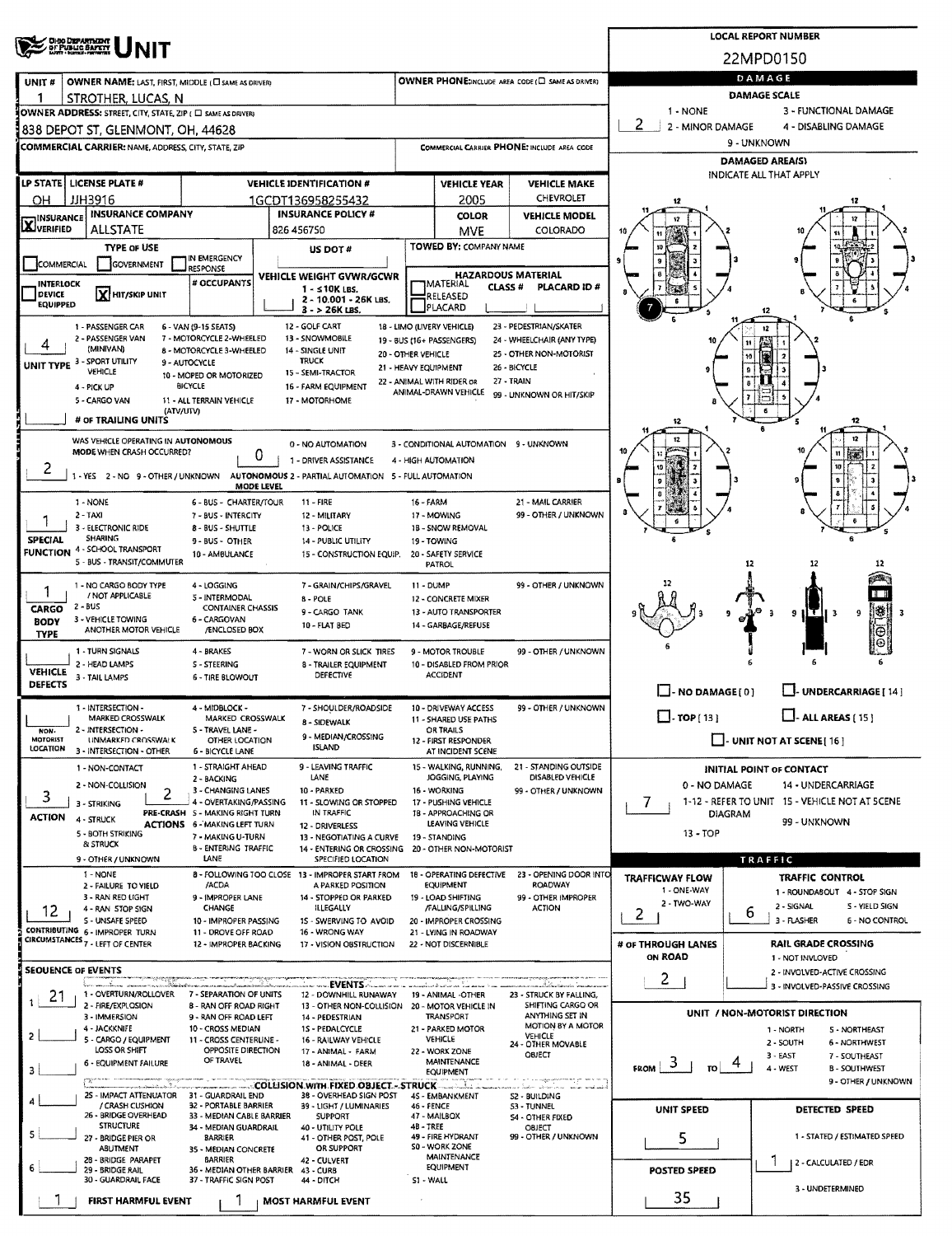| <b>CHOO DEPARTMENT</b><br>OF PUBLIC BAPETY                                                                  |                                                                                                        |                                                         |                                                 |                                                            |                                   | <b>LOCAL REPORT NUMBER</b>                                                |  |  |  |  |  |
|-------------------------------------------------------------------------------------------------------------|--------------------------------------------------------------------------------------------------------|---------------------------------------------------------|-------------------------------------------------|------------------------------------------------------------|-----------------------------------|---------------------------------------------------------------------------|--|--|--|--|--|
|                                                                                                             |                                                                                                        |                                                         |                                                 |                                                            |                                   | 22MPD0150                                                                 |  |  |  |  |  |
| OWNER NAME: LAST, FIRST, MIDDLE (C) SAME AS DRIVERY<br>UNIT#                                                |                                                                                                        |                                                         |                                                 | OWNER PHONE:INCLUDE AREA CODE (C) SAME AS DRIVER)          | DAMAGE                            |                                                                           |  |  |  |  |  |
| STROTHER, LUCAS, N                                                                                          |                                                                                                        |                                                         |                                                 |                                                            | <b>DAMAGE SCALE</b>               |                                                                           |  |  |  |  |  |
| OWNER ADDRESS: STREET, CITY, STATE, ZIP ( C SAME AS DRIVER)                                                 |                                                                                                        |                                                         |                                                 |                                                            | 1 - NONE<br>2<br>2 - MINOR DAMAGE | 3 - FUNCTIONAL DAMAGE<br>4 - DISABLING DAMAGE                             |  |  |  |  |  |
| 838 DEPOT ST, GLENMONT, OH, 44628                                                                           |                                                                                                        |                                                         |                                                 |                                                            | 9 - UNKNOWN                       |                                                                           |  |  |  |  |  |
| <b>COMMERCIAL CARRIER: NAME, ADDRESS, CITY, STATE, ZIP</b>                                                  |                                                                                                        |                                                         |                                                 | <b>COMMERCIAL CARRIER PHONE: INCLUDE AREA CODE</b>         | <b>DAMAGED AREA(S)</b>            |                                                                           |  |  |  |  |  |
| LP STATE   LICENSE PLATE #                                                                                  | <b>VEHICLE IDENTIFICATION #</b>                                                                        |                                                         | <b>VEHICLE YEAR</b>                             | <b>VEHICLE MAKE</b>                                        | INDICATE ALL THAT APPLY           |                                                                           |  |  |  |  |  |
| JJH3916<br>OН                                                                                               | 1GCDT136958255432                                                                                      |                                                         | 2005                                            | <b>CHEVROLET</b>                                           | 12                                |                                                                           |  |  |  |  |  |
| <b>INSURANCE COMPANY</b><br>INSURANCE                                                                       | <b>INSURANCE POLICY #</b>                                                                              |                                                         | <b>COLOR</b>                                    | <b>VEHICLE MODEL</b>                                       |                                   |                                                                           |  |  |  |  |  |
| LAJVERIFIED<br>ALLSTATE                                                                                     | 826 456750                                                                                             |                                                         | <b>MVE</b><br><b>TOWED BY: COMPANY NAME</b>     | COLORADO                                                   |                                   |                                                                           |  |  |  |  |  |
| TYPE OF USE<br>IN EMERGENCY<br><b>COMMERCIAL</b><br>GOVERNMENT                                              | US DOT#                                                                                                |                                                         |                                                 |                                                            |                                   |                                                                           |  |  |  |  |  |
| <b>RESPONSE</b><br># OCCUPANTS<br><b>INTERLOCK</b>                                                          | VEHICLE WEIGHT GVWR/GCWR                                                                               | <b>HAZARDOUS MATERIAL</b><br>IMATERIAL<br><b>CLASS#</b> |                                                 | PLACARD ID #                                               |                                   |                                                                           |  |  |  |  |  |
| <b>X</b> HIT/SKIP UNIT<br><b>DEVICE</b><br><b>EQUIPPED</b>                                                  | $1 - 510K$ LBS.<br>2 - 10.001 - 26K LBS.                                                               |                                                         | RELEASED<br>PLACARD                             |                                                            |                                   |                                                                           |  |  |  |  |  |
| 1 - PASSENGER CAR<br>6 - VAN (9-15 SEATS)                                                                   | $3 - 26K$ LBS.<br>12 - GOLF CART                                                                       |                                                         | 18 - LIMO (LIVERY VEHICLE)                      | 23 - PEDESTRIAN/SKATER                                     |                                   | 12<br>12                                                                  |  |  |  |  |  |
| 2 - PASSENGER VAN<br>7 - MOTORCYCLE 2-WHEELED<br>(MINIVAN)                                                  | 13 - SNOWMOBILE                                                                                        |                                                         | 19 - BUS (16+ PASSENGERS)                       | 24 - WHEELCHAIR (ANY TYPE)                                 |                                   | 11                                                                        |  |  |  |  |  |
| 8 - MOTORCYCLE 3-WHEELED<br>UNIT TYPE 3 - SPORT UTILITY<br>9 - AUTOCYCLE                                    | 14 - SINGLE UNIT<br><b>TRUCK</b>                                                                       | 20 - OTHER VEHICLE<br>21 - HEAVY EQUIPMENT              |                                                 | 25 - OTHER NON-MOTORIST<br>26 - BICYCLE                    |                                   | 10                                                                        |  |  |  |  |  |
| VEHICLE<br>10 - MOPED OR MOTORIZED<br><b>BICYCLE</b><br>4 - PICK UP                                         | 15 - SEMI-TRACTOR<br>16 - FARM EQUIPMENT                                                               |                                                         | 22 - ANIMAL WITH RIDER OR                       | 27 - TRAIN                                                 |                                   |                                                                           |  |  |  |  |  |
| 5 - CARGO VAN<br>11 - ALL TERRAIN VEHICLE                                                                   | 17 - MOTORHOME                                                                                         |                                                         | ANIMAL-DRAWN VEHICLE                            | 99 - UNKNOWN OR HIT/SKIP                                   |                                   |                                                                           |  |  |  |  |  |
| (ATV/UTV)<br># OF TRAILING UNITS                                                                            |                                                                                                        |                                                         |                                                 |                                                            | 12                                | 12                                                                        |  |  |  |  |  |
| WAS VEHICLE OPERATING IN AUTONOMOUS                                                                         | 0 - NO AUTOMATION                                                                                      |                                                         | 3 - CONDITIONAL AUTOMATION 9 - UNKNOWN          |                                                            | 10                                |                                                                           |  |  |  |  |  |
| MODE WHEN CRASH OCCURRED?<br>2                                                                              | U<br>1 - DRIVER ASSISTANCE                                                                             |                                                         | 4 - HIGH AUTOMATION                             |                                                            | 10                                | CO.<br>10                                                                 |  |  |  |  |  |
|                                                                                                             | 1 - YES 2 - NO 9 - OTHER / UNKNOWN AUTONOMOUS 2 - PARTIAL AUTOMATION 5 - FULL AUTOMATION<br>MODE LEVEL |                                                         |                                                 |                                                            | 9                                 |                                                                           |  |  |  |  |  |
| 1 - NONE                                                                                                    | 6 - BUS - CHARTER/TOUR<br>11 - FIRE                                                                    | 16 - FARM                                               |                                                 | 21 - MAIL CARRIER                                          | $\boldsymbol{z}$                  |                                                                           |  |  |  |  |  |
| $2 - TAXI$<br>7 - BUS - INTERCITY<br>3 - ELECTRONIC RIDE<br>8 - BUS - SHUTTLE                               | 12 - MILITARY<br>13 - POLICE                                                                           |                                                         | 17 - MOWING<br>1B - SNOW REMOVAL                | 99 - OTHER / UNKNOWN                                       |                                   | 8                                                                         |  |  |  |  |  |
| <b>SHARING</b><br><b>SPECIAL</b><br>9 - BUS - OTHER<br><b>FUNCTION 4 - SCHOOL TRANSPORT</b>                 | 14 - PUBLIC UTILITY                                                                                    |                                                         | 19 - TOWING                                     |                                                            |                                   |                                                                           |  |  |  |  |  |
| 10 - AMBULANCE<br>5 - BUS - TRANSIT/COMMUTER                                                                | 15 - CONSTRUCTION EQUIP.                                                                               |                                                         | 20 - SAFETY SERVICE<br>PATROL                   |                                                            |                                   | 12<br>12                                                                  |  |  |  |  |  |
| 1 - NO CARGO BODY TYPE<br>4 - LOGGING<br>1                                                                  | 7 - GRAIN/CHIPS/GRAVEL                                                                                 | 11 - DUMP                                               |                                                 | 99 - OTHER / UNKNOWN                                       |                                   |                                                                           |  |  |  |  |  |
| / NOT APPLICABLE<br>5 - INTERMODAL<br>2 - BUS<br>CARGO                                                      | 8 - POLE<br><b>CONTAINER CHASSIS</b><br>9 - CARGO TANK                                                 |                                                         | 12 - CONCRETE MIXER<br>13 - AUTO TRANSPORTER    |                                                            |                                   | 38<br>$\vert T \vert$<br>9                                                |  |  |  |  |  |
| 3 - VEHICLE TOWING<br>6 - CARGOVAN<br><b>BODY</b><br>ANOTHER MOTOR VEHICLE<br><b>TYPE</b>                   | 10 - FLAT BED<br>/ENCLOSED BOX                                                                         |                                                         | 14 - GARBAGE/REFUSE                             |                                                            |                                   | 9<br>13                                                                   |  |  |  |  |  |
| 1 - TURN SIGNALS<br>4 - BRAKES                                                                              | 7 - WORN OR SLICK TIRES                                                                                |                                                         | 9 - MOTOR TROUBLE                               | 99 - OTHER / UNKNOWN                                       |                                   |                                                                           |  |  |  |  |  |
| 2 - HEAD LAMPS<br>S - STEERING<br><b>VEHICLE</b>                                                            | <b>8 - TRAILER EQUIPMENT</b><br><b>DEFECTIVE</b>                                                       |                                                         | 10 - DISABLED FROM PRIOR<br><b>ACCIDENT</b>     |                                                            |                                   |                                                                           |  |  |  |  |  |
| 3 - TAIL LAMPS<br><b>6 - TIRE BLOWOUT</b><br>DEFECTS                                                        |                                                                                                        |                                                         |                                                 |                                                            | $\Box$ - NO DAMAGE [ 0 ]          | <b>UNDERCARRIAGE [ 14 ]</b>                                               |  |  |  |  |  |
| 1 - INTERSECTION -<br>4 - MIDBLOCK -                                                                        | 7 - SHOULDER/ROADSIDE                                                                                  |                                                         | 10 - DRIVEWAY ACCESS                            | 99 - OTHER / UNKNOWN                                       | $\Box$ -TOP[13]                   | $\Box$ - ALL AREAS [ 15 ]                                                 |  |  |  |  |  |
| MARKED CROSSWALK<br>2 - INTERSECTION -<br>5 - TRAVEL LANE -<br>NON-                                         | MARKED CROSSWALK<br>8 - SIDEWALK<br>9 - MEDIAN/CROSSING                                                |                                                         | 11 - SHARED USE PATHS<br><b>OR TRAILS</b>       |                                                            |                                   |                                                                           |  |  |  |  |  |
| <b>MOTORIST</b><br>UNMARKED CROSSWALK<br><b>LOCATION</b><br>3 - INTERSECTION - OTHER<br>6 - BICYCLE LANE    | OTHER LOCATION<br><b>ISLAND</b>                                                                        |                                                         | 12 - FIRST RESPONDER<br>AT INCIDENT SCENE       |                                                            |                                   | $\Box$ - UNIT NOT AT SCENE [16]                                           |  |  |  |  |  |
| 1 - STRAIGHT AHEAD<br>1 - NON-CONTACT                                                                       | 9 - LEAVING TRAFFIC<br>LANE                                                                            |                                                         | 15 - WALKING, RUNNING,<br>JOGGING, PLAYING      | 21 - STANDING OUTSIDE<br>DISABLED VEHICLE                  |                                   | INITIAL POINT OF CONTACT                                                  |  |  |  |  |  |
| 2 - BACKING<br>2 - NON-COLLISION<br>3 - CHANGING LANES<br>2<br>3                                            | 10 - PARKED                                                                                            |                                                         | 16 - WORKING                                    | 99 - OTHER / UNKNOWN                                       | 0 - NO DAMAGE                     | 14 - UNDERCARRIAGE                                                        |  |  |  |  |  |
| 3 - STRIKING<br>PRE-CRASH S - MAKING RIGHT TURN<br><b>ACTION</b>                                            | 4 - OVERTAKING/PASSING<br>11 - SLOWING OR STOPPED<br>IN TRAFFIC                                        |                                                         | 17 - PUSHING VEHICLE<br>18 - APPROACHING OR     |                                                            | 7<br><b>DIAGRAM</b>               | 1-12 - REFER TO UNIT 15 - VEHICLE NOT AT SCENE                            |  |  |  |  |  |
| 4 - STRUCK<br><b>ACTIONS 6 - MAKING LEFT TURN</b><br>5 - BOTH STRIKING<br>7 - MAKING U-TURN                 | 12 - DRIVERLESS<br>13 - NEGOTIATING A CURVE                                                            |                                                         | LEAVING VEHICLE<br>19 - STANDING                |                                                            | $13 - TOP$                        | 99 - UNKNOWN                                                              |  |  |  |  |  |
| <b>&amp; STRUCK</b><br><b>B - ENTERING TRAFFIC</b><br>LANE<br>9 - OTHER / UNKNOWN                           | 14 - ENTERING OR CROSSING 20 - OTHER NON-MOTORIST<br>SPECIFIED LOCATION                                |                                                         |                                                 |                                                            |                                   |                                                                           |  |  |  |  |  |
| 1 - NONE                                                                                                    | 8 - FOLLOWING TOO CLOSE 13 - IMPROPER START FROM                                                       |                                                         | 18 - OPERATING DEFECTIVE                        | 23 - OPENING DOOR INTO                                     | <b>TRAFFICWAY FLOW</b>            | TRAFFIC<br><b>TRAFFIC CONTROL</b>                                         |  |  |  |  |  |
| /ACDA<br>2 - FAILURE TO VIELD<br>3 - RAN RED LIGHT<br>9 - IMPROPER LANE                                     | A PARKED POSITION<br>14 - STOPPED OR PARKED                                                            |                                                         | <b>EQUIPMENT</b><br>19 - LOAD SHIFTING          | ROADWAY<br>99 - OTHER IMPROPER                             | 1 - ONE-WAY                       | 1 - ROUNDABOUT 4 - STOP SIGN                                              |  |  |  |  |  |
| CHANGE<br>4 - RAN STOP SIGN<br>12<br>S - UNSAFE SPEED                                                       | ILLEGALLY<br>1S - SWERVING TO AVOID                                                                    |                                                         | /FALLING/SPILLING                               | <b>ACTION</b>                                              | 2 - TWO-WAY<br>2                  | 2 - SIGNAL<br>S - YIELD SIGN<br>6<br>3 - FLASHER<br><b>6 - NO CONTROL</b> |  |  |  |  |  |
| CONTRIBUTING 6 - IMPROPER TURN<br>11 - DROVE OFF ROAD                                                       | 10 - IMPROPER PASSING<br>16 - WRONG WAY                                                                |                                                         | 20 - IMPROPER CROSSING<br>21 - LYING IN ROADWAY |                                                            |                                   |                                                                           |  |  |  |  |  |
| CIRCUMSTANCES <sub>7</sub> - LEFT OF CENTER                                                                 | 12 - IMPROPER BACKING<br>17 - VISION OBSTRUCTION                                                       |                                                         | 22 - NOT DISCERNIBLE                            |                                                            | # OF THROUGH LANES<br>ON ROAD     | <b>RAIL GRADE CROSSING</b><br>1 - NOT INVLOVED                            |  |  |  |  |  |
| <b>SEOUENCE OF EVENTS</b>                                                                                   |                                                                                                        |                                                         |                                                 |                                                            | 2                                 | 2 - INVOLVED-ACTIVE CROSSING                                              |  |  |  |  |  |
| kun son ikiwa san<br>erre en manual dels des dels to<br>1 - OVERTURN/ROLLOVER 7 - SEPARATION OF UNITS<br>21 | 12 - DOWNHILL RUNAWAY                                                                                  |                                                         | 19 - ANIMAL -OTHER                              | 23 - STRUCK BY FALLING,                                    |                                   | 3 - INVOLVED-PASSIVE CROSSING                                             |  |  |  |  |  |
| 2 - FIRE/EXPLOSION<br>3 - IMMERSION<br>9 - RAN OFF ROAD LEFT                                                | <b>8 - RAN OFF ROAD RIGHT</b><br>13 - OTHER NON-COLLISION 20 - MOTOR VEHICLE IN<br>14 - PEDESTRIAN     |                                                         | TRANSPORT                                       | SHIFTING CARGO OR<br>ANYTHING SET IN                       |                                   | UNIT / NON-MOTORIST DIRECTION                                             |  |  |  |  |  |
| 4 - JACKKNIFE<br>10 - CROSS MEDIAN<br>$\overline{2}$<br>5 - CARGO / EQUIPMENT<br>11 - CROSS CENTERLINE -    | 1S - PEDALCYCLE<br>16 - RAILWAY VEHICLE                                                                |                                                         | 21 - PARKED MOTOR<br><b>VEHICLE</b>             | MOTION BY A MOTOR<br><b>VEHICLE</b>                        |                                   | 1 - NORTH<br><b>S-NORTHEAST</b>                                           |  |  |  |  |  |
| LOSS OR SHIFT<br>OF TRAVEL                                                                                  | OPPOSITE DIRECTION<br>17 - ANIMAL - FARM                                                               |                                                         | 22 - WORK ZONE<br>MAINTENANCE                   | 24 - OTHER MOVABLE<br><b>OBJECT</b>                        |                                   | 2 - SOUTH<br>6 - NORTHWEST<br>$3 - LAST$<br>7 - SOUTHEAST                 |  |  |  |  |  |
| 6 - EQUIPMENT FAILURE<br>з                                                                                  | 18 - ANIMAL - DEER                                                                                     |                                                         | <b>EQUIPMENT</b>                                | a a c <u>oppo</u> promotive en pre-ver e ce                | $F_{ROM}$ 3<br>TO !               | 4 - WEST<br><b>B - SOUTHWEST</b><br>9 - OTHER / UNKNOWN                   |  |  |  |  |  |
| 25 - IMPACT ATTENUATOR 31 - GUARDRAIL END                                                                   | COLLISION WITH FIXED OBJECT - STRUCK<br>38 - OVERHEAD SIGN POST                                        |                                                         | 45 - EMBANKMENT                                 | adar shekarana wasan <del>anala</del> a i<br>S2 - BUILDING |                                   |                                                                           |  |  |  |  |  |
| / CRASH CUSHION<br>32 - PORTABLE BARRIER<br>26 - BRIDGE OVERHEAD                                            | 39 - LIGHT / LUMINARIES<br>33 - MEDIAN CABLE BARRIER<br><b>SUPPORT</b>                                 | 46 - FENCE                                              | 47 - MAILBOX                                    | 53 - TUNNEL<br><b>S4 - OTHER FIXED</b>                     | UNIT SPEED                        | DETECTED SPEED                                                            |  |  |  |  |  |
| <b>STRUCTURE</b><br>34 - MEDIAN GUARDRAIL<br>27 - BRIDGE PIER OR<br><b>BARRIER</b>                          | 40 - UTILITY POLE<br>41 - OTHER POST, POLE                                                             | $4B - TREE$                                             | 49 - FIRE HYDRANT                               | <b>OBJECT</b><br>99 - OTHER / UNKNOWN                      | 5                                 | 1 - STATED / ESTIMATED SPEED                                              |  |  |  |  |  |
| ABUTMENT<br>35 - MEDIAN CONCRETE<br><b>BARRIER</b><br>28 - BRIDGE PARAPET                                   | OR SUPPORT<br>42 - CULVERT                                                                             |                                                         | 50 - WORK ZONE<br><b>MAINTENANCE</b>            |                                                            |                                   |                                                                           |  |  |  |  |  |
| 29 - BRIDGE RAIL<br>30 - GUARDRAIL FACE<br>37 - TRAFFIC SIGN POST                                           | 36 - MEDIAN OTHER BARRIER<br>43 - CURB<br>44 - DITCH                                                   | S1 - WALL                                               | <b>EQUIPMENT</b>                                |                                                            | POSTED SPEED                      | 2 - CALCULATED / EDR                                                      |  |  |  |  |  |
| <b>FIRST HARMFUL EVENT</b>                                                                                  | <b>MOST HARMFUL EVENT</b>                                                                              |                                                         |                                                 |                                                            | 35                                | 3 - UNDETERMINED                                                          |  |  |  |  |  |
|                                                                                                             |                                                                                                        |                                                         |                                                 |                                                            |                                   |                                                                           |  |  |  |  |  |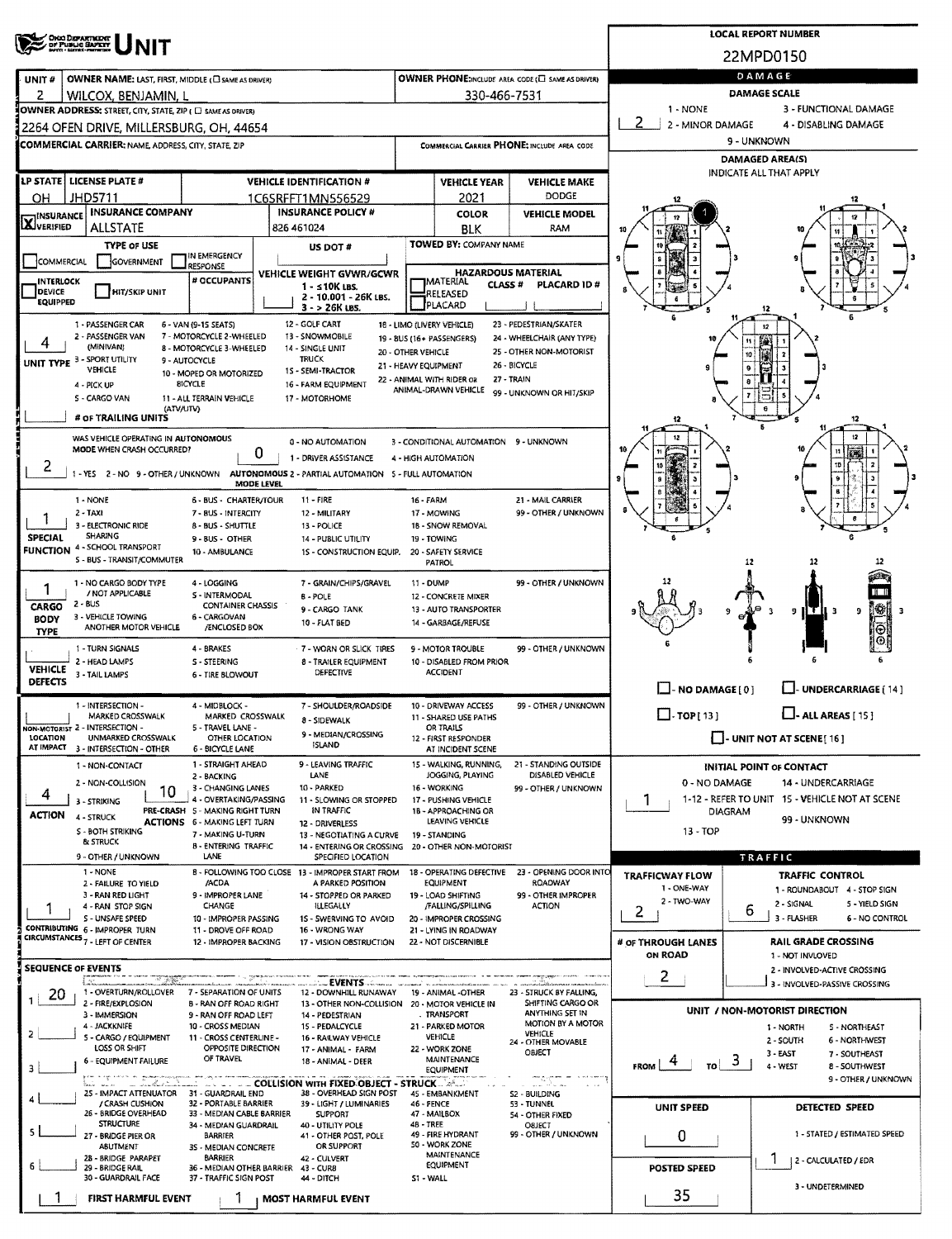| <sup>7</sup> OHAD DEPARTMENT<br>7 DF PUBLIC SLUPETY                                                                           |                                                                                                             |                                                     |                                                          | <b>LOCAL REPORT NUMBER</b>                                   |  |  |  |  |
|-------------------------------------------------------------------------------------------------------------------------------|-------------------------------------------------------------------------------------------------------------|-----------------------------------------------------|----------------------------------------------------------|--------------------------------------------------------------|--|--|--|--|
|                                                                                                                               |                                                                                                             |                                                     |                                                          | 22MPD0150                                                    |  |  |  |  |
| OWNER NAME: LAST, FIRST, MIDDLE (C) SAME AS DRIVER)<br>UNIT#                                                                  | OWNER PHONE:INCLUDE AREA CODE (E) SAME AS DRIVERY                                                           |                                                     |                                                          | DAMAGE                                                       |  |  |  |  |
| 2<br>WILCOX, BENJAMIN, I                                                                                                      | 330-466-7531                                                                                                |                                                     |                                                          | <b>DAMAGE SCALE</b>                                          |  |  |  |  |
| OWNER ADDRESS: STREET, CITY, STATE, ZIP ( C) SAME AS DRIVER)                                                                  |                                                                                                             |                                                     | 1 - NONE                                                 | 3 - FUNCTIONAL DAMAGE                                        |  |  |  |  |
| 2264 OFEN DRIVE, MILLERSBURG, OH, 44654                                                                                       |                                                                                                             |                                                     | 2<br>2 - MINOR DAMAGE                                    | 4 - DISABLING DAMAGE                                         |  |  |  |  |
| <b>COMMERCIAL CARRIER: NAME, ADDRESS, CITY, STATE, ZIP</b>                                                                    | COMMERCIAL CARRIER PHONE: INCLUDE AREA CODE                                                                 |                                                     | 9 - UNKNOWN                                              |                                                              |  |  |  |  |
|                                                                                                                               |                                                                                                             |                                                     | <b>DAMAGED AREA(S)</b><br><b>INDICATE ALL THAT APPLY</b> |                                                              |  |  |  |  |
| LP STATE   LICENSE PLATE #<br><b>VEHICLE IDENTIFICATION #</b>                                                                 | <b>VEHICLE YEAR</b>                                                                                         | <b>VEHICLE MAKE</b><br>DODGE                        |                                                          |                                                              |  |  |  |  |
| JHD5711<br>OН<br>1C6SRFFT1MN556529<br><b>INSURANCE COMPANY</b>                                                                | 2021<br><b>INSURANCE POLICY #</b><br><b>COLOR</b>                                                           | <b>VEHICLE MODEL</b>                                |                                                          |                                                              |  |  |  |  |
| <b>INSURANCE</b><br><b>AJVERIFIED</b><br><b>ALLSTATE</b><br>826 461024                                                        | BLK                                                                                                         | RAM                                                 | 10                                                       |                                                              |  |  |  |  |
| <b>TYPE OF USE</b>                                                                                                            | <b>TOWED BY: COMPANY NAME</b><br>US DOT #                                                                   |                                                     |                                                          |                                                              |  |  |  |  |
| IN EMERGENCY<br>COMMERCIAL<br>GOVERNMENT<br>RESPONSE                                                                          | <b>HAZARDOUS MATERIAL</b>                                                                                   |                                                     | ۹                                                        |                                                              |  |  |  |  |
| # OCCUPANTS<br><b>INTERLOCK</b><br>DEVICE<br><b>HIT/SKIP UNIT</b>                                                             | VEHICLE WEIGHT GVWR/GCWR<br><b>IMATERIAL</b><br><b>CLASS#</b><br>$1 - 510K$ LBS.                            | <b>PLACARD ID#</b>                                  |                                                          |                                                              |  |  |  |  |
| <b>EQUIPPED</b>                                                                                                               | RELEASED<br>2 - 10.001 - 26K LBS.<br>PLACARD<br>3 - > 26K LBS.                                              |                                                     |                                                          |                                                              |  |  |  |  |
| 12 - GOLF CART<br>1 - PASSENGER CAR<br>6 - VAN (9-15 SEATS)                                                                   | 18 - LIMO (LIVERY VEHICLE)                                                                                  | 23 - PEDESTRIAN/SKATER                              |                                                          |                                                              |  |  |  |  |
| 2 - PASSENGER VAN<br>7 - MOTORCYCLE 2-WHEELED<br>13 - SNOWMOBILE<br>(MINIVAN)<br>8 - MOTORCYCLE 3-WHEELED<br>14 - SINGLE UNIT | 19 - 8US (16+ PASSENGERS)                                                                                   | 24 - WHEELCHAIR (ANY TYPE)                          |                                                          |                                                              |  |  |  |  |
| UNIT TYPE 3 - SPORT UTILITY<br><b>TRUCK</b><br>9 - AUTOCYCLE<br>VEHICLE                                                       | 20 - OTHER VEHICLE<br>21 - HEAVY EQUIPMENT                                                                  | 25 - OTHER NON-MOTORIST<br>26 BICYCLE               |                                                          | 10                                                           |  |  |  |  |
| 10 - MOPED OR MOTORIZED<br><b>BICYCLE</b><br>4 - PICK UP                                                                      | 15 - SEMI-TRACTOR<br>22 - ANIMAL WITH RIDER OR<br>16 - FARM EQUIPMENT                                       | 27 - TRAIN                                          |                                                          |                                                              |  |  |  |  |
| S - CARGO VAN<br>11 - ALL TERRAIN VEHICLE<br>17 - MOTORHOME                                                                   | ANIMAL-DRAWN VEHICLE                                                                                        | 99 - UNKNOWN OR HIT/SKIP                            |                                                          |                                                              |  |  |  |  |
| (ATV/UTV)<br># OF TRAILING UNITS                                                                                              |                                                                                                             |                                                     | 12                                                       | 12                                                           |  |  |  |  |
| WAS VEHICLE OPERATING IN AUTONOMOUS                                                                                           | 0 - NO AUTOMATION<br>3 - CONDITIONAL AUTOMATION 9 - UNKNOWN                                                 |                                                     |                                                          | 12                                                           |  |  |  |  |
| MODE WHEN CRASH OCCURRED?<br>0                                                                                                | 1 - DRIVER ASSISTANCE<br>4 - HIGH AUTOMATION                                                                |                                                     |                                                          | an.<br>10                                                    |  |  |  |  |
| 2<br>1 - YES 2 - NO 9 - OTHER / UNKNOWN AUTONOMOUS 2 - PARTIAL AUTOMATION 5 - FULL AUTOMATION<br>MODE LEVEL                   |                                                                                                             |                                                     |                                                          |                                                              |  |  |  |  |
| 1 - NONE<br>6 - BUS - CHARTER/TOUR<br>$11 -$ FIRE                                                                             | 16 - FARM                                                                                                   | 21 - MAIL CARRIER                                   |                                                          |                                                              |  |  |  |  |
| $2 - TAXI$<br>7 - BUS - INTERCITY                                                                                             | 17 - MOWING<br>12 - MILITARY                                                                                | 99 - OTHER / UNKNOWN                                |                                                          |                                                              |  |  |  |  |
| 3 - ELECTRONIC RIDE<br>8 - BUS - SHUTTLE<br><b>SHARING</b><br><b>SPECIAL</b><br>9 - BUS - OTHER                               | 1B - SNOW REMOVAL<br>13 - POLICE<br>14 - PUBLIC UTILITY<br>19 - TOWING                                      |                                                     |                                                          |                                                              |  |  |  |  |
| <b>FUNCTION 4 - SCHOOL TRANSPORT</b><br>10 - AMBULANCE<br>S - BUS - TRANSIT/COMMUTER                                          | 1S - CONSTRUCTION EQUIP.<br>20 - SAFETY SERVICE                                                             |                                                     |                                                          |                                                              |  |  |  |  |
|                                                                                                                               | PATROL                                                                                                      |                                                     |                                                          | 12<br>12                                                     |  |  |  |  |
| 1 NO CARGO BODY TYPE<br>4 - LOGGING<br>1<br>/ NOT APPLICABLE<br>S - INTERMODAL<br>B - POLE                                    | 7 - GRAIN/CHIPS/GRAVEL<br>11 - DUMP<br>12 - CONCRETE MIXER                                                  | 99 - OTHER / UNKNOWN                                |                                                          | n u                                                          |  |  |  |  |
| $2 - BUS$<br>CARGO<br><b>CONTAINER CHASSIS</b><br>3 - VEHICLE TOWING<br>6 - CARGOVAN                                          | 13 - AUTO TRANSPORTER<br>9 - CARGO TANK                                                                     |                                                     |                                                          | Ī₩,<br>9<br>9<br>$\mathbf{B}$<br>з                           |  |  |  |  |
| BODY<br>ANOTHER MOTOR VEHICLE<br>/ENCLOSED BOX<br><b>TYPE</b>                                                                 | 10 - FLAT BED<br>14 - GARBAGE/REFUSE                                                                        |                                                     |                                                          | $_{\odot}$                                                   |  |  |  |  |
| 1 - TURN SIGNALS<br>4 - BRAKES                                                                                                | 7 - WORN OR SLICK TIRES<br>9 - MOTOR TROUBLE                                                                | 99 - OTHER / UNKNOWN                                |                                                          |                                                              |  |  |  |  |
| 2 - HEAD LAMPS<br>S - STEERING<br><b>VEHICLE</b><br>3 - TAIL LAMPS<br>6 - TIRE BLOWOUT                                        | 8 - TRAILER EQUIPMENT<br>10 - DISABLED FROM PRIOR<br>DEFECTIVE<br><b>ACCIDENT</b>                           |                                                     |                                                          |                                                              |  |  |  |  |
| <b>DEFECTS</b>                                                                                                                |                                                                                                             |                                                     | $\Box$ - NO DAMAGE [0]                                   | <b>UNDERCARRIAGE (14)</b>                                    |  |  |  |  |
| 1 - INTERSECTION -<br>4 - MIDBLOCK -<br>MARKED CROSSWALK                                                                      | 7 - SHOULDER/ROADSIDE<br>10 - DRIVEWAY ACCESS                                                               | 99 - OTHER / UNKNOWN                                | $\Box$ -TOP[13]                                          |                                                              |  |  |  |  |
| MARKED CROSSWALK<br>NON-MOTORIST 2 - INTERSECTION -<br>5 - TRAVEL LANE -                                                      | 11 - SHARED USE PATHS<br>8 - SIDEWALK<br>OR TRAILS<br>9 - MEDIAN/CROSSING                                   |                                                     |                                                          | $\cdot$ ALL AREAS [ 15 ]                                     |  |  |  |  |
| <b>LOCATION</b><br>OTHER LOCATION<br>UNMARKED CROSSWALK<br>AT IMPACT 3 - INTERSECTION - OTHER<br>6 - BICYCLE LANE             | 12 - FIRST RESPONDER<br>SLAND<br>AT INCIDENT SCENE                                                          |                                                     |                                                          | $\Box$ - UNIT NOT AT SCENE [16]                              |  |  |  |  |
| 1 - STRAIGHT AHEAD<br>1 - NON-CONTACT                                                                                         | 9 - LEAVING TRAFFIC<br>15 - WALKING, RUNNING,                                                               | 21 - STANDING OUTSIDE                               |                                                          | <b>INITIAL POINT OF CONTACT</b>                              |  |  |  |  |
| 2 - BACKING<br>2 - NON-COLLISION<br>3 - CHANGING LANES                                                                        | JOGGING, PLAYING<br>LANE<br>16 - WORKING<br>10 - PARKED                                                     | DISABLED VEHICLE<br>99 - OTHER / UNKNOWN            | 0 - NO DAMAGE                                            | 14 - UNDERCARRIAGE                                           |  |  |  |  |
| 10<br>4<br>4 - OVERTAKING/PASSING<br>3 - STRIKING<br>PRE-CRASH 5 - MAKING RIGHT TURN                                          | 11 - SLOWING OR STOPPED<br>17 - PUSHING VEHICLE<br>IN TRAFFIC<br>1B - APPROACHING OR                        |                                                     | 1                                                        | 1-12 - REFER TO UNIT 15 - VEHICLE NOT AT SCENE               |  |  |  |  |
| <b>ACTION</b><br>4 - STRUCK<br><b>ACTIONS</b> 6 - MAKING LEFT TURN                                                            | LEAVING VEHICLE<br>12 - DRIVERLESS                                                                          |                                                     | DIAGRAM                                                  | 99 - UNKNOWN                                                 |  |  |  |  |
| S - BOTH STRIKING<br>7 - MAKING U-TURN<br>& STRUCK<br><b>B-ENTERING TRAFFIC</b>                                               | 19 - STANDING<br>13 - NEGOTIATING A CURVE<br>14 - ENTERING OR CROSSING<br>20 - OTHER NON-MOTORIST           |                                                     | $13 - TOP$                                               |                                                              |  |  |  |  |
| 9 - OTHER / UNKNOWN<br>LANE                                                                                                   | SPECIFIED LOCATION                                                                                          |                                                     |                                                          | <b>TRAFFIC</b>                                               |  |  |  |  |
| 1 - NONE<br>8 - FOLLOWING TOO CLOSE 13 - IMPROPER START FROM<br>/ACDA<br>2 - FAILURE TO YIELD                                 | 18 - OPERATING DEFECTIVE<br><b>EQUIPMENT</b><br>A PARKED POSITION                                           | 23 - OPENING DOOR INTO<br><b>ROADWAY</b>            | <b>TRAFFICWAY FLOW</b>                                   | <b>TRAFFIC CONTROL</b>                                       |  |  |  |  |
| 3 - RAN RED LIGHT<br>9 - IMPROPER LANE<br>CHANGE<br>4 - RAN STOP SIGN                                                         | 14 - STOPPED OR PARKED<br>19 - LOAD SHIFTING<br><b>ILLEGALLY</b><br>/FALLING/SPILLING                       | 99 - OTHER IMPROPER<br><b>ACTION</b>                | 1 - ONE-WAY<br>2 - TWO-WAY                               | 1 - ROUNDABOUT 4 - STOP SIGN<br>2 - SIGNAL<br>S - YIELD SIGN |  |  |  |  |
| S - UNSAFE SPEED<br>10 - IMPROPER PASSING                                                                                     | 1S - SWERVING TO AVOID<br>20 - IMPROPER CROSSING                                                            |                                                     | 2                                                        | 6<br>3 - FLASHER<br>6 - NO CONTROL                           |  |  |  |  |
| CONTRIBUTING 6 - IMPROPER TURN<br>11 - DROVE OFF ROAD<br>CIRCUMSTANCES <sub>7</sub> - LEFT OF CENTER<br>12 - IMPROPER BACKING | 16 - WRONG WAY<br>21 - LYING IN ROADWAY<br>22 - NOT DISCERNIBLE<br>17 - VISION OBSTRUCTION                  |                                                     | # OF THROUGH LANES                                       | <b>RAIL GRADE CROSSING</b>                                   |  |  |  |  |
|                                                                                                                               |                                                                                                             |                                                     | <b>ON ROAD</b>                                           | 1 - NOT INVLOVED                                             |  |  |  |  |
| <b>SEQUENCE OF EVENTS</b><br>i x.                                                                                             | المستنقية EVENTS المتقلقين                                                                                  | <b>The Company Seattless Company of the Company</b> | 2                                                        | 2 - INVOLVED-ACTIVE CROSSING                                 |  |  |  |  |
| 1 - OVERTURN/ROLLOVER<br>7 - SEPARATION OF UNITS<br>Z0                                                                        | 12 - DOWNHILL RUNAWAY 19 - ANIMAL -OTHER                                                                    | 23 - STRUCK BY FALLING,                             |                                                          | 3 - INVOLVED-PASSIVE CROSSING                                |  |  |  |  |
| 2 - FIRE/EXPLOSION<br><b>B - RAN OFF ROAD RIGHT</b><br>3 - IMMERSION<br>9 - RAN OFF ROAD LEFT                                 | 13 - OTHER NON-COLLISION 20 - MOTOR VEHICLE IN<br>. TRANSPORT<br>14 - PEDESTRIAN                            | SHIFTING CARGO OR<br>ANYTHING SET IN                |                                                          | UNIT / NON-MOTORIST DIRECTION                                |  |  |  |  |
| 4 - JACKKNIFE<br>10 - CROSS MEDIAN<br>2<br>5 - CARGO / EQUIPMENT<br>11 - CROSS CENTERLINE -                                   | 15 - PEDALCYCLE<br>21 - PARKED MOTOR<br>VEHICLE<br>16 - RAILWAY VEHICLE                                     | MOTION BY A MOTOR<br><b>VEHICLE</b>                 |                                                          | 1 - NORTH<br>5 - NORTHEAST                                   |  |  |  |  |
| LOSS OR SHIFT<br>OPPOSITE DIRECTION<br>OF TRAVEL                                                                              | 22 - WORK ZONE<br>17 - ANIMAL - FARM                                                                        | 24 - OTHER MOVABLE<br>OBJECT                        |                                                          | 2 - SOUTH<br>6 - NORTHWEST<br>3-EAST<br>7 - SOUTHEAST        |  |  |  |  |
| 6 - EQUIPMENT FAILURE<br>3                                                                                                    | <b>MAINTENANCE</b><br>18 - ANIMAL - DEER<br><b>EQUIPMENT</b>                                                | a milion is a survey                                | 3.<br><b>FROM</b><br>TO                                  | 4 - WEST<br>8 - SOUTHWEST                                    |  |  |  |  |
| n, anderstand,<br>25 - IMPACT ATTENUATOR 31 - GUARDRAIL END                                                                   | <b>LECTIFIER COLLISION WITH FIXED OBJECT - STRUCK  ASSESS</b><br>38 - OVERHEAD SIGN POST<br>45 - EMBANKMENT | www.comm<br>$\sim$ 10 $\sim$<br>S2 - BUILDING       |                                                          | 9 - OTHER / UNKNOWN                                          |  |  |  |  |
| / CRASH CUSHION<br>32 - PORTABLE BARRIER<br>26 - BRIDGE OVERHEAD<br>33 - MEDIAN CABLE BARRIER                                 | 39 - LIGHT / LUMINARIES<br>46 - FENCE<br><b>SUPPORT</b><br>47 MAILBOX                                       | 53 - TUNNEL                                         | <b>UNIT SPEED</b>                                        | DETECTED SPEED                                               |  |  |  |  |
| <b>STRUCTURE</b><br>34 - MEDIAN GUARDRAIL<br>5.                                                                               | 4B-TREE<br>40 UTILITY POLE                                                                                  | 54 - OTHER FIXED<br>OBJECT                          |                                                          |                                                              |  |  |  |  |
| 27 - BRIDGE PIER OR<br>BARRIER<br>ABUTMENT<br>35 - MEDIAN CONCRETE                                                            | 49 - FIRE HYDRANT<br>41 - OTHER POST, POLE<br>50 - WORK ZONE<br>OR SUPPORT                                  | 99 - OTHER / UNKNOWN                                | 0                                                        | 1 - STATED / ESTIMATED SPEED                                 |  |  |  |  |
| 28 - BRIDGE PARAPET<br><b>BARRIER</b><br>29 - BRIDGE RAIL<br>36 - MEDIAN OTHER BARRIER<br>43 - CUR8                           | MAINTENANCE<br>42 - CULVERT<br>EQUIPMENT                                                                    |                                                     | POSTED SPEED                                             | 2 - CALCULATED / EDR                                         |  |  |  |  |
| 30 - GUARDRAIL FACE<br>37 - TRAFFIC SIGN POST                                                                                 | 44 - DITCH<br>S1 - WALL                                                                                     |                                                     |                                                          | 3 - UNDETERMINED                                             |  |  |  |  |
| FIRST HARMFUL EVENT<br><b>MOST HARMFUL EVENT</b>                                                                              |                                                                                                             |                                                     | 35                                                       |                                                              |  |  |  |  |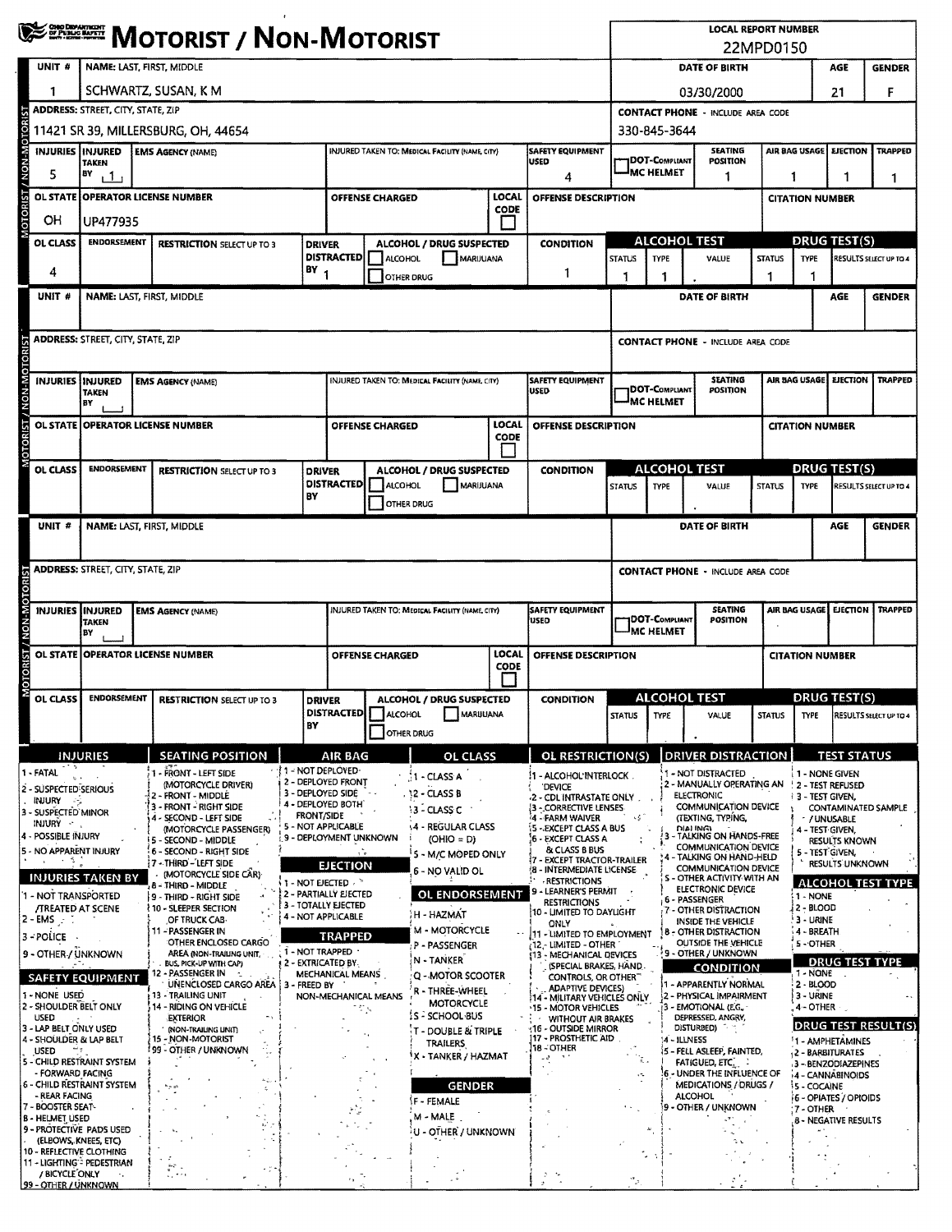|                                        | <b>WESTERN MOTORIST / NON-MOTORIST</b>       |                                                                   |  |                                                                             |                                                         |                                                                                          |                                                         |                                                        |                                          | <b>LOCAL REPORT NUMBER</b><br>22MPD0150                               |                                                                                 |                                                            |                                                                     |                                         |                                                |                                    |                        |  |  |  |  |
|----------------------------------------|----------------------------------------------|-------------------------------------------------------------------|--|-----------------------------------------------------------------------------|---------------------------------------------------------|------------------------------------------------------------------------------------------|---------------------------------------------------------|--------------------------------------------------------|------------------------------------------|-----------------------------------------------------------------------|---------------------------------------------------------------------------------|------------------------------------------------------------|---------------------------------------------------------------------|-----------------------------------------|------------------------------------------------|------------------------------------|------------------------|--|--|--|--|
| UNIT #                                 |                                              | NAME: LAST, FIRST, MIDDLE                                         |  |                                                                             |                                                         |                                                                                          |                                                         |                                                        |                                          |                                                                       |                                                                                 |                                                            | DATE OF BIRTH                                                       |                                         |                                                | AGE                                | <b>GENDER</b>          |  |  |  |  |
|                                        |                                              |                                                                   |  | SCHWARTZ, SUSAN, K M                                                        |                                                         |                                                                                          |                                                         |                                                        |                                          |                                                                       |                                                                                 |                                                            | 03/30/2000                                                          |                                         |                                                | 21                                 | F                      |  |  |  |  |
|                                        |                                              | <b>ADDRESS: STREET, CITY, STATE, ZIP</b>                          |  |                                                                             |                                                         |                                                                                          |                                                         |                                                        |                                          |                                                                       |                                                                                 |                                                            | <b>CONTACT PHONE - INCLUDE AREA CODE</b>                            |                                         |                                                |                                    |                        |  |  |  |  |
| / NON-MOTORIST                         |                                              |                                                                   |  | 11421 SR 39, MILLERSBURG, OH, 44654                                         |                                                         |                                                                                          |                                                         |                                                        |                                          |                                                                       |                                                                                 | 330-845-3644                                               | <b>SEATING</b>                                                      |                                         |                                                | <b>EJECTION</b>                    | <b>TRAPPED</b>         |  |  |  |  |
| 5                                      |                                              | INJURIES INJURED<br>TAKEN<br>BY                                   |  | <b>EMS AGENCY (NAME)</b>                                                    |                                                         |                                                                                          |                                                         | <b>INJURED TAKEN TO: MEDICAL FACILITY (NAME, CITY)</b> |                                          | <b>SAFETY EQUIPMENT</b><br><b>USED</b>                                |                                                                                 | <b>JDOT-C</b> ompliant<br><b>MC HELMET</b>                 | <b>POSITION</b>                                                     | AIR BAG USAGE                           |                                                |                                    |                        |  |  |  |  |
|                                        |                                              | 111                                                               |  |                                                                             |                                                         |                                                                                          | <b>OFFENSE CHARGED</b>                                  |                                                        | LOCAL                                    | 4<br>OFFENSE DESCRIPTION                                              |                                                                                 |                                                            | 1                                                                   | 1<br>1                                  |                                                |                                    | 1                      |  |  |  |  |
| MOTORIST<br>OН                         | OL STATE OPERATOR LICENSE NUMBER<br>UP477935 |                                                                   |  |                                                                             |                                                         |                                                                                          |                                                         |                                                        | <b>CODE</b>                              |                                                                       |                                                                                 |                                                            |                                                                     | <b>CITATION NUMBER</b>                  |                                                |                                    |                        |  |  |  |  |
| OL CLASS                               |                                              | ENDORSEMENT<br><b>RESTRICTION SELECT UP TO 3</b>                  |  |                                                                             |                                                         | <b>DRIVER</b>                                                                            | ALCOHOL / DRUG SUSPECTED                                |                                                        |                                          | <b>CONDITION</b>                                                      |                                                                                 |                                                            | <b>ALCOHOL TEST</b>                                                 |                                         | <b>DRUG TEST(S)</b>                            |                                    |                        |  |  |  |  |
| 4                                      |                                              |                                                                   |  |                                                                             |                                                         | <b>DISTRACTED</b><br>BY <sub>1</sub>                                                     | ALCOHOL                                                 | MARUUANA                                               |                                          | 1                                                                     | <b>STATUS</b>                                                                   |                                                            | VALUE                                                               | <b>STATUS</b>                           | TYPE                                           |                                    | RESULTS SELECT UP TO 4 |  |  |  |  |
| UNIT #                                 |                                              |                                                                   |  | NAME: LAST, FIRST, MIDDLE                                                   |                                                         |                                                                                          | OTHER DRUG                                              |                                                        |                                          |                                                                       | 1                                                                               | 1                                                          | DATE OF BIRTH                                                       | 1                                       |                                                | AGE                                | <b>GENDER</b>          |  |  |  |  |
|                                        |                                              |                                                                   |  |                                                                             |                                                         |                                                                                          |                                                         |                                                        |                                          |                                                                       |                                                                                 |                                                            |                                                                     |                                         |                                                |                                    |                        |  |  |  |  |
|                                        |                                              | <b>ADDRESS: STREET, CITY, STATE, ZIP</b>                          |  |                                                                             |                                                         |                                                                                          |                                                         |                                                        |                                          |                                                                       |                                                                                 |                                                            | <b>CONTACT PHONE - INCLUDE AREA CODE</b>                            |                                         |                                                |                                    |                        |  |  |  |  |
|                                        |                                              |                                                                   |  |                                                                             |                                                         |                                                                                          |                                                         |                                                        |                                          |                                                                       |                                                                                 |                                                            |                                                                     |                                         |                                                |                                    |                        |  |  |  |  |
| NON-MOTO                               |                                              | INJURIES INJURED<br><b>TAKEN</b>                                  |  | <b>EMS AGENCY (NAME)</b>                                                    |                                                         |                                                                                          |                                                         | INJURED TAKEN TO: MEDICAL FACILITY (NAME, CITY)        |                                          | <b>SAFETY EQUIPMENT</b><br><b>USED</b>                                |                                                                                 | <b>JDOT-COMPLIANT</b>                                      | <b>SEATING</b><br>POSITION                                          |                                         | AIR BAG USAGE                                  | <b>EJECTION</b>                    | <b>TRAPPED</b>         |  |  |  |  |
|                                        |                                              | BY                                                                |  |                                                                             |                                                         |                                                                                          |                                                         |                                                        |                                          |                                                                       |                                                                                 | <b>MC HELMET</b>                                           |                                                                     |                                         |                                                |                                    |                        |  |  |  |  |
| OTORIST/<br><b>OL STATE</b>            |                                              |                                                                   |  | <b>OPERATOR LICENSE NUMBER</b>                                              |                                                         |                                                                                          | <b>OFFENSE CHARGED</b>                                  |                                                        | LOCAL<br><b>CODE</b>                     | OFFENSE DESCRIPTION                                                   |                                                                                 |                                                            |                                                                     |                                         | <b>CITATION NUMBER</b>                         |                                    |                        |  |  |  |  |
| OL CLASS                               |                                              | <b>ENDORSEMENT</b>                                                |  | <b>RESTRICTION SELECT UP TO 3</b>                                           |                                                         | <b>DRIVER</b>                                                                            |                                                         | ALCOHOL / DRUG SUSPECTED                               |                                          | <b>CONDITION</b>                                                      |                                                                                 |                                                            | <b>ALCOHOL TEST</b>                                                 |                                         | <b>DRUG TEST(S)</b>                            |                                    |                        |  |  |  |  |
|                                        |                                              |                                                                   |  |                                                                             |                                                         | BY                                                                                       | <b>DISTRACTED</b><br><b>ALCOHOL</b><br><b>MARIJUANA</b> |                                                        |                                          |                                                                       | <b>STATUS</b>                                                                   | TYPE                                                       | VALUE                                                               | <b>STATUS</b>                           | <b>TYPE</b>                                    |                                    | RESULTS SELECT UP TO 4 |  |  |  |  |
|                                        |                                              |                                                                   |  |                                                                             |                                                         |                                                                                          | OTHER DRUG                                              |                                                        |                                          |                                                                       |                                                                                 |                                                            |                                                                     |                                         |                                                |                                    |                        |  |  |  |  |
| UNIT #                                 |                                              |                                                                   |  | NAME: LAST, FIRST, MIDDLE                                                   |                                                         |                                                                                          |                                                         |                                                        |                                          |                                                                       |                                                                                 |                                                            | DATE OF BIRTH                                                       |                                         |                                                | AGE                                | <b>GENDER</b>          |  |  |  |  |
|                                        |                                              | <b>ADDRESS: STREET, CITY, STATE, ZIP</b>                          |  |                                                                             |                                                         |                                                                                          |                                                         |                                                        |                                          |                                                                       |                                                                                 | <b>CONTACT PHONE - INCLUDE AREA CODE</b>                   |                                                                     |                                         |                                                |                                    |                        |  |  |  |  |
|                                        |                                              |                                                                   |  |                                                                             |                                                         |                                                                                          |                                                         |                                                        |                                          |                                                                       |                                                                                 |                                                            |                                                                     |                                         |                                                |                                    |                        |  |  |  |  |
| NON-MO<br><b>INJURIES</b>              |                                              | <b>INJURED</b><br><b>TAKEN</b>                                    |  | <b>EMS AGENCY (NAME)</b>                                                    |                                                         |                                                                                          |                                                         | INJURED TAKEN TO: MEDICAL FACILITY (NAME, CITY)        |                                          | <b>SAFETY EQUIPMENT</b><br>USED                                       | <b>SEATING</b><br>AIR BAG USAGE<br><b>EJECTION</b><br>DOT-COMPLIANT<br>POSITION |                                                            |                                                                     |                                         |                                                | <b>TRAPPED</b>                     |                        |  |  |  |  |
|                                        |                                              | BY                                                                |  |                                                                             |                                                         |                                                                                          |                                                         |                                                        |                                          |                                                                       |                                                                                 | <b>MC HELMET</b>                                           |                                                                     |                                         |                                                |                                    |                        |  |  |  |  |
| MOTORIST /                             |                                              |                                                                   |  | OL STATE OPERATOR LICENSE NUMBER                                            |                                                         | LOCAL<br><b>OFFENSE CHARGED</b><br><b>OFFENSE DESCRIPTION</b><br><b>CODE</b>             |                                                         |                                                        |                                          |                                                                       |                                                                                 |                                                            |                                                                     |                                         | <b>CITATION NUMBER</b>                         |                                    |                        |  |  |  |  |
| OL CLASS                               |                                              | <b>ENDORSEMENT</b>                                                |  | <b>RESTRICTION SELECT UP TO 3</b>                                           |                                                         | ALCOHOL / DRUG SUSPECTED<br><b>DRIVER</b>                                                |                                                         |                                                        | <b>CONDITION</b>                         | <b>ALCOHOL TEST</b>                                                   |                                                                                 |                                                            |                                                                     | <b>DRUG TEST(S)</b>                     |                                                |                                    |                        |  |  |  |  |
|                                        |                                              |                                                                   |  |                                                                             |                                                         | BY                                                                                       | DISTRACTED ALCOHOL<br>MARUUANA                          |                                                        |                                          |                                                                       | STATUS TYPE                                                                     |                                                            | VALUE                                                               |                                         | STATUS TYPE RESULTS SELECT UP TO 4             |                                    |                        |  |  |  |  |
|                                        |                                              |                                                                   |  |                                                                             |                                                         |                                                                                          | <b>OTHER DRUG</b>                                       |                                                        |                                          |                                                                       |                                                                                 |                                                            |                                                                     |                                         |                                                |                                    |                        |  |  |  |  |
| 1 - FATAL                              |                                              | <b>INJURIES</b>                                                   |  | <b>SEATING POSITION</b><br>1 - FRONT - LEFT SIDE                            |                                                         | <b>AIR BAG</b><br><b>1 - NOT DEPLOYED</b>                                                |                                                         | <b>OL CLASS</b><br>31 - CLASS A                        |                                          | <b>OL RESTRICTION(S)</b><br>11 - ALCOHOL INTERLOCK.                   |                                                                                 |                                                            | <b>DRIVER DISTRACTION</b><br>1 - NOT DISTRACTED                     |                                         | 1 - NONE GIVEN                                 | <b>TEST STATUS</b>                 |                        |  |  |  |  |
| 2 - SUSPECTED SERIOUS<br>INJURY -      |                                              |                                                                   |  | (MOTORCYCLE DRIVER)<br>2 - FRONT - MIDDLE                                   |                                                         | 2 - DEPLOYED FRONT<br>3 - DEPLOYED SIDÊ                                                  |                                                         | , 12 - CLASS B                                         |                                          | <b>DEVICE</b><br>-2 - CDL INTRASTATE ONLY                             |                                                                                 |                                                            | 2 - MANUALLY OPERATING AN ! 2 - TEST REFUSED<br><b>ELECTRONIC</b>   |                                         | i 3 - Test given,                              |                                    |                        |  |  |  |  |
| 3 - SUSPECTED MINOR<br>INJURY -        |                                              |                                                                   |  | 3 - FRONT - RIGHT SIDE<br>4 - SECOND - LEFT SIDE                            | 4 - DEPLOYED BOTH<br>$3 - CLASSC$<br><b>FRONT/SIDE</b>  |                                                                                          |                                                         |                                                        | 3 - CORRECTIVE LENSES<br>4 - FARM WAIVER | COMMUNICATION DEVICE<br>(TEXTING, TYPING,                             |                                                                                 |                                                            | CONTAMINATED SAMPLE<br>/ UNUSABLE                                   |                                         |                                                |                                    |                        |  |  |  |  |
| 4 - POSSIBLE INJURY                    |                                              |                                                                   |  | (MOTORCYCLE PASSENGER)<br>5 - SECOND - MIDDLE                               |                                                         | 5 - NOT APPLICABLE<br><b>4 - REGULAR CLASS</b><br>9 - DEPLOYMENT UNKNOWN<br>$(OHIO = D)$ |                                                         |                                                        |                                          | <b>5 - EXCEPT CLASS A BUS</b><br>6 - EXCEPT CLASS A<br>& CLASS B BUS  | <b>DIALINGL</b><br>- TALKING ON HANDS-FREE<br><b>COMMUNICATION DEVICE</b>       |                                                            |                                                                     | 4 - TEST GIVEN,<br><b>RESULTS KNOWN</b> |                                                |                                    |                        |  |  |  |  |
| 5 - NO APPARENT INJURY                 | 一座                                           |                                                                   |  | 6 - SECOND - RIGHT SIDE<br>7 - THIRD - LEFT SIDE                            |                                                         | ÷<br>5 - M/C MOPED ONLY<br><b>EJECTION</b><br>6 - NO VALID OL                            |                                                         |                                                        |                                          | 7 - EXCEPT TRACTOR-TRAILER<br>(8 - INTERMEDIATE LICENSE               |                                                                                 |                                                            | - TALKING ON HAND-HELD<br>COMMUNICATION DEVICE                      |                                         |                                                | 5 - TEST GIVEN,<br>RESULTS UNKNOWN |                        |  |  |  |  |
| 1 - NOT TRANSPORTED                    |                                              | <b>INJURIES TAKEN BY</b>                                          |  | <b>MOTORCYCLE SIDE CAR)</b><br>8 - Third - Middle<br>9 - THIRD - RIGHT SIDE | $1 - NOT EECTED 1 -2 - PARTIALLY EJECTEDOL ENDORSEMENT$ |                                                                                          |                                                         |                                                        |                                          | <b>RESTRICTIONS</b><br><b>9 - LEARNER'S PERMIT</b>                    | S - OTHER ACTIVITY WITH AN<br>ELECTRONIC DEVICE                                 |                                                            |                                                                     | <b>ALCOHOL TEST TYPE</b><br>$1 - NONE$  |                                                |                                    |                        |  |  |  |  |
| $2 - EMS \geq 1$                       |                                              | <b>/TREATED AT SCENE</b>                                          |  | 10 - SLEEPER SECTION<br>OF TRUCK CAB-                                       | 3 - TOTALLY EJECTED<br>4 - NOT APPLICABLE               |                                                                                          |                                                         | H - HAZMAT                                             |                                          | <b>RESTRICTIONS</b><br>10 - LIMITED TO DAYLIGHT                       |                                                                                 |                                                            | <b>6 - PASSENGER</b><br>7 - OTHER DISTRACTION<br>INSIDE THE VEHICLE |                                         | 2 - BLOOD<br>3 - URINE                         |                                    |                        |  |  |  |  |
| 3 - POLICE                             |                                              |                                                                   |  | 11 - PASSENGER IN<br>OTHER ENCLOSED CARGO                                   | <b>TRAPPED</b>                                          |                                                                                          |                                                         | M - MOTORCYCLE<br>P - PASSENGER                        |                                          | ONLY<br><b>11 - LIMITED TO EMPLOYMENT</b><br>$(12 - LIMITED - OTHER)$ |                                                                                 |                                                            | <b>B - OTHER DISTRACTION</b><br>OUTSIDE THE VEHICLE                 |                                         | 4 - BREATH                                     |                                    |                        |  |  |  |  |
|                                        |                                              | 9 - OTHER-/ UNKNOWN                                               |  | AREA (NON-TRAILING UNIT,<br>BUS, PICK-UP WITH CAP)                          | 1 - NOT TRAPPED<br>2 - EXTRICATED BY                    |                                                                                          |                                                         | N-TANKER                                               |                                          | <b>\$13 - MECHANICAL DEVICES</b><br>(SPECIAL BRAKES, HAND.            |                                                                                 | 9 - OTHER / UNKNOWN<br><b>CONDITION</b>                    |                                                                     |                                         | 5 - OTHER<br><b>DRUG TEST TYPE</b>             |                                    |                        |  |  |  |  |
|                                        |                                              | <b>SAFETY EQUIPMENT</b>                                           |  | 12 - PASSENGER IN<br>UNENCLOSED CARGO AREA   3 - FREED BY                   |                                                         | MECHANICAL MEANS                                                                         |                                                         | Q - MOTOR SCOOTER<br>R - THREE-WHEEL                   |                                          | CONTROLS, OR OTHER<br><b>ADAPTIVE DEVICES)</b>                        | 1 - APPARENTLY NORMAL                                                           |                                                            |                                                                     | 1 - NONE<br>2 - BLOOD                   |                                                |                                    |                        |  |  |  |  |
| 1 - NONE USED<br><b>USED</b>           |                                              | 2 - SHOULDER BELT ONLY                                            |  | <b>13 - TRAILING UNIT</b><br>14 - RIDING ON VEHICLE<br><b>EXTERIOR</b>      |                                                         |                                                                                          | NON-MECHANICAL MEANS<br>tariy.                          | <b>MOTORCYCLE</b><br>IS - SCHOOL BUS                   |                                          | <b>14 - MILITARY VEHICLES ONLY</b><br><b>15 - MOTOR VEHICLES</b>      |                                                                                 | 2 - PHYSICAL IMPAIRMENT<br>3 - EMOTIONAL (E.G.,            |                                                                     |                                         | i 3 - Uriine<br>4 - OTHER - .                  |                                    |                        |  |  |  |  |
| 3 - LAP BELT ONLY USED                 |                                              | 4 - SHOULDER & LAP BELT                                           |  | (NON-TRAILING LINIT)<br>15 - NON-MOTORIST                                   |                                                         |                                                                                          |                                                         | <b>T - DOUBLE &amp; TRIPLE</b><br><b>TRAILERS</b>      |                                          | WITHOUT AIR BRAKES<br>16 - OUTSIDE MIRROR<br>17 - PROSTHETIC AID      | DEPRESSED, ANGRY,<br>DISTURBED)<br><b>A - ILLNESS</b>                           |                                                            |                                                                     |                                         | <b>DRUG TEST RESULT(S)</b><br>1 - AMPHETAMINES |                                    |                        |  |  |  |  |
| <b>USED</b>                            | چ سے                                         | 5 - CHILD RESTRAINT SYSTEM                                        |  | 99 - OTHER / UNKNOWN                                                        |                                                         |                                                                                          |                                                         | 'X - TANKER / HAZMAT                                   |                                          | 18 - OTHER<br>$- d$                                                   |                                                                                 | is - Fell Asleep, Fainted,<br>Πg.<br><b>FATIGUED, ETC.</b> |                                                                     |                                         | 2 - BARBITURATES<br>3 - BENZODIAZEPINES        |                                    |                        |  |  |  |  |
|                                        |                                              | - FORWARD FACING<br>6 - CHILD RESTRAINT SYSTEM                    |  |                                                                             |                                                         |                                                                                          |                                                         | <b>GENDER</b>                                          |                                          |                                                                       | ò,                                                                              |                                                            | - UNDER THE INFLUENCE OF<br>MEDICATIONS / DRUGS /                   |                                         | 4 - CANNABINOIDS<br><b><i>is</i></b> - COCAINE |                                    |                        |  |  |  |  |
| - REAR FACING<br>7 - BOOSTER SEAT-     |                                              |                                                                   |  |                                                                             |                                                         |                                                                                          | $\mathcal{L}$                                           | <b>IF - FEMALE</b>                                     |                                          |                                                                       |                                                                                 |                                                            | <b>ALCOHOL</b><br>9 - OTHER / UNKNOWN                               |                                         | :7 - OTHER                                     | <b>6 - OPIATES / OPIOIDS</b>       |                        |  |  |  |  |
| <b>B - HELMET USED</b>                 |                                              | 9 - PROTECTIVE PADS USED<br>(ELBOWS, KNEES, ETC)                  |  |                                                                             |                                                         |                                                                                          |                                                         | M - MALE<br>U - OTHER / UNKNOWN                        |                                          |                                                                       |                                                                                 |                                                            |                                                                     |                                         |                                                | 8 - NEGATIVE RESULTS               |                        |  |  |  |  |
|                                        |                                              | 10 - REFLECTIVE CLOTHING<br>11 - LIGHTING <sup>*</sup> PEDESTRIAN |  |                                                                             |                                                         |                                                                                          |                                                         |                                                        |                                          |                                                                       |                                                                                 |                                                            |                                                                     |                                         |                                                |                                    |                        |  |  |  |  |
| / BICYCLE ONLY<br>99 - OTHER / UNKNOWN |                                              |                                                                   |  | $\frac{3\pi\sqrt{3}}{4}$                                                    |                                                         |                                                                                          |                                                         |                                                        |                                          |                                                                       |                                                                                 |                                                            |                                                                     |                                         |                                                |                                    |                        |  |  |  |  |